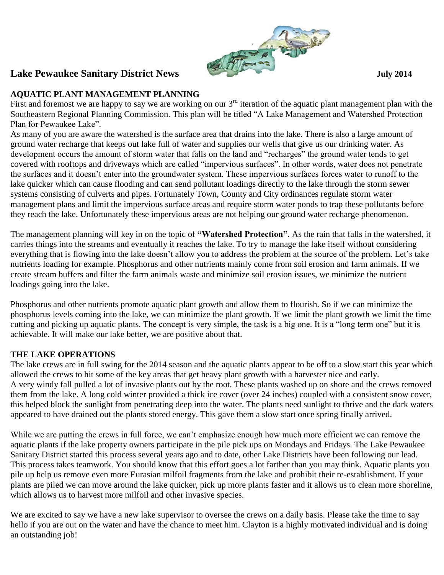

## **AQUATIC PLANT MANAGEMENT PLANNING**

First and foremost we are happy to say we are working on our  $3<sup>rd</sup>$  iteration of the aquatic plant management plan with the Southeastern Regional Planning Commission. This plan will be titled "A Lake Management and Watershed Protection Plan for Pewaukee Lake".

As many of you are aware the watershed is the surface area that drains into the lake. There is also a large amount of ground water recharge that keeps out lake full of water and supplies our wells that give us our drinking water. As development occurs the amount of storm water that falls on the land and "recharges" the ground water tends to get covered with rooftops and driveways which are called "impervious surfaces". In other words, water does not penetrate the surfaces and it doesn't enter into the groundwater system. These impervious surfaces forces water to runoff to the lake quicker which can cause flooding and can send pollutant loadings directly to the lake through the storm sewer systems consisting of culverts and pipes. Fortunately Town, County and City ordinances regulate storm water management plans and limit the impervious surface areas and require storm water ponds to trap these pollutants before they reach the lake. Unfortunately these impervious areas are not helping our ground water recharge phenomenon.

The management planning will key in on the topic of **"Watershed Protection"**. As the rain that falls in the watershed, it carries things into the streams and eventually it reaches the lake. To try to manage the lake itself without considering everything that is flowing into the lake doesn't allow you to address the problem at the source of the problem. Let's take nutrients loading for example. Phosphorus and other nutrients mainly come from soil erosion and farm animals. If we create stream buffers and filter the farm animals waste and minimize soil erosion issues, we minimize the nutrient loadings going into the lake.

Phosphorus and other nutrients promote aquatic plant growth and allow them to flourish. So if we can minimize the phosphorus levels coming into the lake, we can minimize the plant growth. If we limit the plant growth we limit the time cutting and picking up aquatic plants. The concept is very simple, the task is a big one. It is a "long term one" but it is achievable. It will make our lake better, we are positive about that.

### **THE LAKE OPERATIONS**

The lake crews are in full swing for the 2014 season and the aquatic plants appear to be off to a slow start this year which allowed the crews to hit some of the key areas that get heavy plant growth with a harvester nice and early. A very windy fall pulled a lot of invasive plants out by the root. These plants washed up on shore and the crews removed them from the lake. A long cold winter provided a thick ice cover (over 24 inches) coupled with a consistent snow cover, this helped block the sunlight from penetrating deep into the water. The plants need sunlight to thrive and the dark waters appeared to have drained out the plants stored energy. This gave them a slow start once spring finally arrived.

While we are putting the crews in full force, we can't emphasize enough how much more efficient we can remove the aquatic plants if the lake property owners participate in the pile pick ups on Mondays and Fridays. The Lake Pewaukee Sanitary District started this process several years ago and to date, other Lake Districts have been following our lead. This process takes teamwork. You should know that this effort goes a lot farther than you may think. Aquatic plants you pile up help us remove even more Eurasian milfoil fragments from the lake and prohibit their re-establishment. If your plants are piled we can move around the lake quicker, pick up more plants faster and it allows us to clean more shoreline, which allows us to harvest more milfoil and other invasive species.

We are excited to say we have a new lake supervisor to oversee the crews on a daily basis. Please take the time to say hello if you are out on the water and have the chance to meet him. Clayton is a highly motivated individual and is doing an outstanding job!